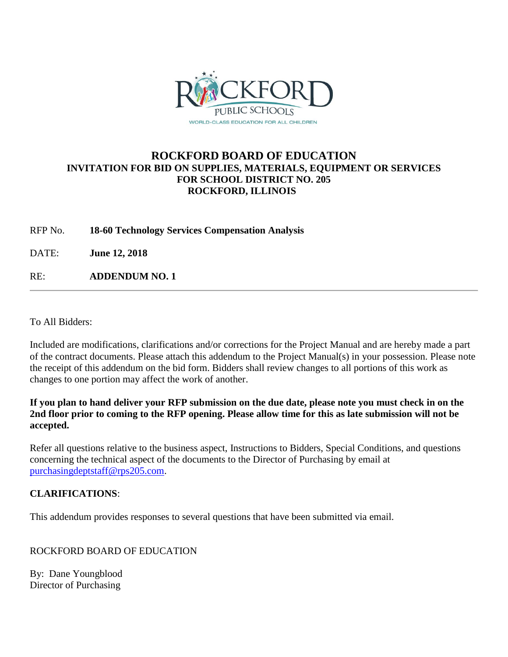

## **ROCKFORD BOARD OF EDUCATION INVITATION FOR BID ON SUPPLIES, MATERIALS, EQUIPMENT OR SERVICES FOR SCHOOL DISTRICT NO. 205 ROCKFORD, ILLINOIS**

RFP No. **18-60 Technology Services Compensation Analysis**

DATE: **June 12, 2018**

RE: **ADDENDUM NO. 1**

To All Bidders:

Included are modifications, clarifications and/or corrections for the Project Manual and are hereby made a part of the contract documents. Please attach this addendum to the Project Manual(s) in your possession. Please note the receipt of this addendum on the bid form. Bidders shall review changes to all portions of this work as changes to one portion may affect the work of another.

**If you plan to hand deliver your RFP submission on the due date, please note you must check in on the 2nd floor prior to coming to the RFP opening. Please allow time for this as late submission will not be accepted.**

Refer all questions relative to the business aspect, Instructions to Bidders, Special Conditions, and questions concerning the technical aspect of the documents to the Director of Purchasing by email at [purchasingdeptstaff@rps205.com.](mailto:purchasingdeptstaff@rps205.com)

## **CLARIFICATIONS**:

This addendum provides responses to several questions that have been submitted via email.

ROCKFORD BOARD OF EDUCATION

By: Dane Youngblood Director of Purchasing